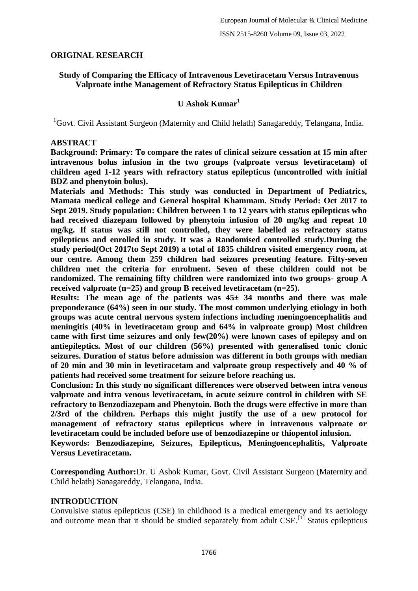## **ORIGINAL RESEARCH**

## **Study of Comparing the Efficacy of Intravenous Levetiracetam Versus Intravenous Valproate inthe Management of Refractory Status Epilepticus in Children**

# **U Ashok Kumar<sup>1</sup>**

<sup>1</sup>Govt. Civil Assistant Surgeon (Maternity and Child helath) Sanagareddy, Telangana, India.

#### **ABSTRACT**

**Background: Primary: To compare the rates of clinical seizure cessation at 15 min after intravenous bolus infusion in the two groups (valproate versus levetiracetam) of children aged 1-12 years with refractory status epilepticus (uncontrolled with initial BDZ and phenytoin bolus).**

**Materials and Methods: This study was conducted in Department of Pediatrics, Mamata medical college and General hospital Khammam. Study Period: Oct 2017 to Sept 2019. Study population: Children between 1 to 12 years with status epilepticus who had received diazepam followed by phenytoin infusion of 20 mg/kg and repeat 10 mg/kg. If status was still not controlled, they were labelled as refractory status epilepticus and enrolled in study. It was a Randomised controlled study.During the study period(Oct 2017to Sept 2019) a total of 1835 children visited emergency room, at our centre. Among them 259 children had seizures presenting feature. Fifty-seven children met the criteria for enrolment. Seven of these children could not be randomized. The remaining fifty children were randomized into two groups- group A received valproate (n=25) and group B received levetiracetam (n=25).**

**Results: The mean age of the patients was 45± 34 months and there was male preponderance (64%) seen in our study. The most common underlying etiology in both groups was acute central nervous system infections including meningoencephalitis and meningitis (40% in levetiracetam group and 64% in valproate group) Most children came with first time seizures and only few(20%) were known cases of epilepsy and on antiepileptics. Most of our children (56%) presented with generalised tonic clonic seizures. Duration of status before admission was different in both groups with median of 20 min and 30 min in levetiracetam and valproate group respectively and 40 % of patients had received some treatment for seizure before reaching us.**

**Conclusion: In this study no significant differences were observed between intra venous valproate and intra venous levetiracetam, in acute seizure control in children with SE refractory to Benzodiazepam and Phenytoin. Both the drugs were effective in more than 2/3rd of the children. Perhaps this might justify the use of a new protocol for management of refractory status epilepticus where in intravenous valproate or levetiracetam could be included before use of benzodiazepine or thiopentol infusion.**

**Keywords: Benzodiazepine, Seizures, Epilepticus, Meningoencephalitis, Valproate Versus Levetiracetam.**

**Corresponding Author:**Dr. U Ashok Kumar, Govt. Civil Assistant Surgeon (Maternity and Child helath) Sanagareddy, Telangana, India.

#### **INTRODUCTION**

Convulsive status epilepticus (CSE) in childhood is a medical emergency and its aetiology and outcome mean that it should be studied separately from adult  $CSE$ <sup>[1]</sup> Status epilepticus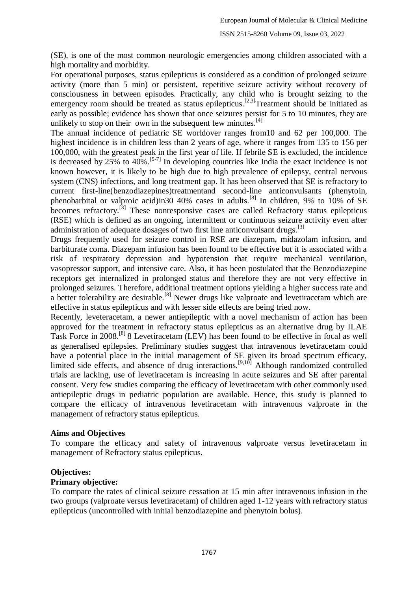(SE), is one of the most common neurologic emergencies among children associated with a high mortality and morbidity.

For operational purposes, status epilepticus is considered as a condition of prolonged seizure activity (more than 5 min) or persistent, repetitive seizure activity without recovery of consciousness in between episodes. Practically, any child who is brought seizing to the emergency room should be treated as status epilepticus.<sup>[2,3]</sup>Treatment should be initiated as early as possible; evidence has shown that once seizures persist for 5 to 10 minutes, they are unlikely to stop on their own in the subsequent few minutes. $[4]$ 

The annual incidence of pediatric SE worldover ranges from10 and 62 per 100,000. The highest incidence is in children less than 2 years of age, where it ranges from 135 to 156 per 100,000, with the greatest peak in the first year of life. If febrile SE is excluded, the incidence is decreased by 25% to 40%.[5-7] In developing countries like India the exact incidence is not known however, it is likely to be high due to high prevalence of epilepsy, central nervous system (CNS) infections, and long treatment gap. It has been observed that SE is refractory to current first-line(benzodiazepines)treatmentand second-line anticonvulsants (phenytoin, phenobarbital or valproic acid)in30 40% cases in adults.[8] In children, 9% to 10% of SE becomes refractory.<sup>[3]</sup> These nonresponsive cases are called Refractory status epilepticus (RSE) which is defined as an ongoing, intermittent or continuous seizure activity even after administration of adequate dosages of two first line anticonvulsant drugs.<sup>[3]</sup>

Drugs frequently used for seizure control in RSE are diazepam, midazolam infusion, and barbiturate coma. Diazepam infusion has been found to be effective but it is associated with a risk of respiratory depression and hypotension that require mechanical ventilation, vasopressor support, and intensive care. Also, it has been postulated that the Benzodiazepine receptors get internalized in prolonged status and therefore they are not very effective in prolonged seizures. Therefore, additional treatment options yielding a higher success rate and a better tolerability are desirable.<sup>[8]</sup> Newer drugs like valproate and levetiracetam which are effective in status epilepticus and with lesser side effects are being tried now.

Recently, leveteracetam, a newer antiepileptic with a novel mechanism of action has been approved for the treatment in refractory status epilepticus as an alternative drug by ILAE Task Force in 2008.[8] 8 Levetiracetam (LEV) has been found to be effective in focal as well as generalised epilepsies. Preliminary studies suggest that intravenous levetiracetam could have a potential place in the initial management of SE given its broad spectrum efficacy, limited side effects, and absence of drug interactions.<sup>[9,10]</sup> Although randomized controlled trials are lacking, use of levetiracetam is increasing in acute seizures and SE after parental consent. Very few studies comparing the efficacy of levetiracetam with other commonly used antiepileptic drugs in pediatric population are available. Hence, this study is planned to compare the efficacy of intravenous levetiracetam with intravenous valproate in the management of refractory status epilepticus.

#### **Aims and Objectives**

To compare the efficacy and safety of intravenous valproate versus levetiracetam in management of Refractory status epilepticus.

# **Objectives:**

#### **Primary objective:**

To compare the rates of clinical seizure cessation at 15 min after intravenous infusion in the two groups (valproate versus levetiracetam) of children aged 1-12 years with refractory status epilepticus (uncontrolled with initial benzodiazepine and phenytoin bolus).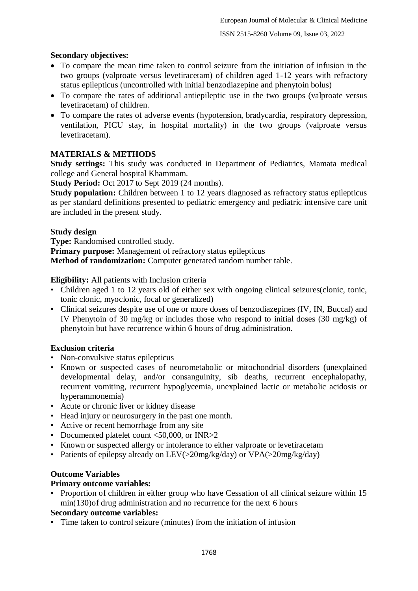# **Secondary objectives:**

- To compare the mean time taken to control seizure from the initiation of infusion in the two groups (valproate versus levetiracetam) of children aged 1-12 years with refractory status epilepticus (uncontrolled with initial benzodiazepine and phenytoin bolus)
- To compare the rates of additional antiepileptic use in the two groups (valproate versus levetiracetam) of children.
- To compare the rates of adverse events (hypotension, bradycardia, respiratory depression, ventilation, PICU stay, in hospital mortality) in the two groups (valproate versus levetiracetam).

# **MATERIALS & METHODS**

**Study settings:** This study was conducted in Department of Pediatrics, Mamata medical college and General hospital Khammam.

**Study Period:** Oct 2017 to Sept 2019 (24 months).

**Study population:** Children between 1 to 12 years diagnosed as refractory status epilepticus as per standard definitions presented to pediatric emergency and pediatric intensive care unit are included in the present study.

#### **Study design**

**Type:** Randomised controlled study.

**Primary purpose:** Management of refractory status epilepticus

**Method of randomization:** Computer generated random number table.

#### **Eligibility:** All patients with Inclusion criteria

- Children aged 1 to 12 years old of either sex with ongoing clinical seizures (clonic, tonic, tonic clonic, myoclonic, focal or generalized)
- Clinical seizures despite use of one or more doses of benzodiazepines (IV, IN, Buccal) and IV Phenytoin of 30 mg/kg or includes those who respond to initial doses (30 mg/kg) of phenytoin but have recurrence within 6 hours of drug administration.

#### **Exclusion criteria**

- Non-convulsive status epilepticus
- Known or suspected cases of neurometabolic or mitochondrial disorders (unexplained developmental delay, and/or consanguinity, sib deaths, recurrent encephalopathy, recurrent vomiting, recurrent hypoglycemia, unexplained lactic or metabolic acidosis or hyperammonemia)
- Acute or chronic liver or kidney disease
- Head injury or neurosurgery in the past one month.
- Active or recent hemorrhage from any site
- Documented platelet count <50,000, or INR>2
- Known or suspected allergy or intolerance to either valproate or levetiracetam
- Patients of epilepsy already on LEV(>20mg/kg/day) or VPA(>20mg/kg/day)

# **Outcome Variables**

#### **Primary outcome variables:**

• Proportion of children in either group who have Cessation of all clinical seizure within 15 min(130)of drug administration and no recurrence for the next 6 hours

# **Secondary outcome variables:**

• Time taken to control seizure (minutes) from the initiation of infusion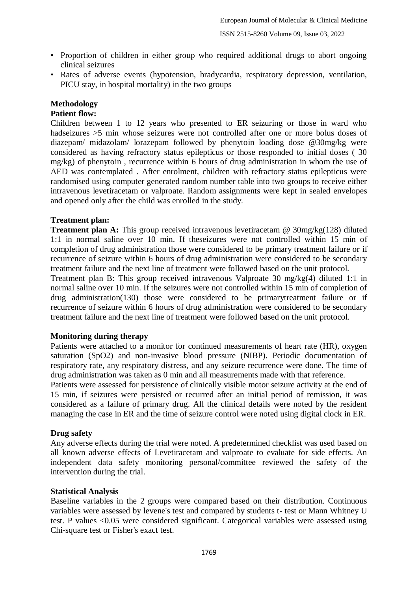- Proportion of children in either group who required additional drugs to abort ongoing clinical seizures
- Rates of adverse events (hypotension, bradycardia, respiratory depression, ventilation, PICU stay, in hospital mortality) in the two groups

# **Methodology**

# **Patient flow:**

Children between 1 to 12 years who presented to ER seizuring or those in ward who hadseizures >5 min whose seizures were not controlled after one or more bolus doses of diazepam/ midazolam/ lorazepam followed by phenytoin loading dose @30mg/kg were considered as having refractory status epilepticus or those responded to initial doses ( 30 mg/kg) of phenytoin , recurrence within 6 hours of drug administration in whom the use of AED was contemplated . After enrolment, children with refractory status epilepticus were randomised using computer generated random number table into two groups to receive either intravenous levetiracetam or valproate. Random assignments were kept in sealed envelopes and opened only after the child was enrolled in the study.

# **Treatment plan:**

**Treatment plan A:** This group received intravenous levetiracetam @ 30mg/kg(128) diluted 1:1 in normal saline over 10 min. If theseizures were not controlled within 15 min of completion of drug administration those were considered to be primary treatment failure or if recurrence of seizure within 6 hours of drug administration were considered to be secondary treatment failure and the next line of treatment were followed based on the unit protocol.

Treatment plan B: This group received intravenous Valproate 30 mg/kg(4) diluted 1:1 in normal saline over 10 min. If the seizures were not controlled within 15 min of completion of drug administration(130) those were considered to be primarytreatment failure or if recurrence of seizure within 6 hours of drug administration were considered to be secondary treatment failure and the next line of treatment were followed based on the unit protocol.

# **Monitoring during therapy**

Patients were attached to a monitor for continued measurements of heart rate (HR), oxygen saturation (SpO2) and non-invasive blood pressure (NIBP). Periodic documentation of respiratory rate, any respiratory distress, and any seizure recurrence were done. The time of drug administration was taken as 0 min and all measurements made with that reference.

Patients were assessed for persistence of clinically visible motor seizure activity at the end of 15 min, if seizures were persisted or recurred after an initial period of remission, it was considered as a failure of primary drug. All the clinical details were noted by the resident managing the case in ER and the time of seizure control were noted using digital clock in ER.

# **Drug safety**

Any adverse effects during the trial were noted. A predetermined checklist was used based on all known adverse effects of Levetiracetam and valproate to evaluate for side effects. An independent data safety monitoring personal/committee reviewed the safety of the intervention during the trial.

# **Statistical Analysis**

Baseline variables in the 2 groups were compared based on their distribution. Continuous variables were assessed by levene's test and compared by students t- test or Mann Whitney U test. P values <0.05 were considered significant. Categorical variables were assessed using Chi-square test or Fisher's exact test.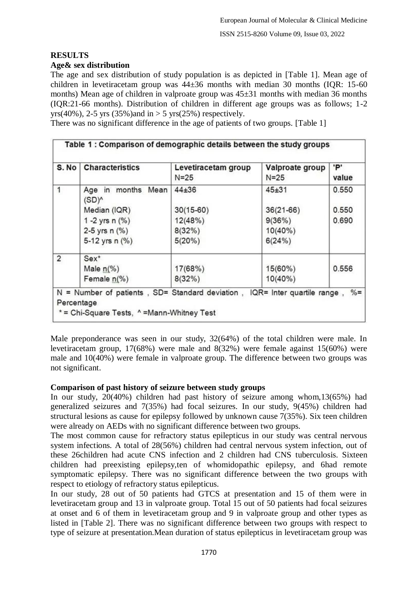# **RESULTS**

# **Age& sex distribution**

The age and sex distribution of study population is as depicted in [Table 1]. Mean age of children in levetiracetam group was 44±36 months with median 30 months (IQR: 15-60 months) Mean age of children in valproate group was 45±31 months with median 36 months (IQR:21-66 months). Distribution of children in different age groups was as follows; 1-2 yrs(40%), 2-5 yrs (35%)and in  $>$  5 yrs(25%) respectively.

There was no significant difference in the age of patients of two groups. [Table 1]

| S. No          | <b>Characteristics</b>            | Levetiracetam group<br>$N = 25$ | Valproate group<br>$N=25$ | 'P'<br>value |
|----------------|-----------------------------------|---------------------------------|---------------------------|--------------|
| 1              | Age in months<br>Mean<br>$(SD)^0$ | $44 + 36$                       | $45 + 31$                 | 0.550        |
|                | Median (IQR)                      | $30(15-60)$                     | $36(21-66)$               | 0.550        |
|                | 1 -2 yrs $n$ $(\%)$               | 12(48%)                         | 9(36%)                    | 0.690        |
|                | 2-5 yrs $n$ (%)                   | 8(32%)                          | $10(40\%)$                |              |
|                | 5-12 yrs n (%)                    | 5(20%)                          | 6(24%)                    |              |
| $\overline{2}$ | $Sex*$                            |                                 |                           |              |
|                | Male $n(\%)$                      | 17(68%)                         | 15(60%)                   | 0.556        |
|                | Female $n$ (%)                    | 8(32%)                          | $10(40\%)$                |              |

Male preponderance was seen in our study, 32(64%) of the total children were male. In levetiracetam group, 17(68%) were male and 8(32%) were female against 15(60%) were male and 10(40%) were female in valproate group. The difference between two groups was not significant.

# **Comparison of past history of seizure between study groups**

In our study,  $20(40%)$  children had past history of seizure among whom,13(65%) had generalized seizures and 7(35%) had focal seizures. In our study, 9(45%) children had structural lesions as cause for epilepsy followed by unknown cause 7(35%). Six teen children were already on AEDs with no significant difference between two groups.

The most common cause for refractory status epilepticus in our study was central nervous system infections. A total of 28(56%) children had central nervous system infection, out of these 26children had acute CNS infection and 2 children had CNS tuberculosis. Sixteen children had preexisting epilepsy, ten of whomidopathic epilepsy, and 6had remote symptomatic epilepsy. There was no significant difference between the two groups with respect to etiology of refractory status epilepticus.

In our study, 28 out of 50 patients had GTCS at presentation and 15 of them were in levetiracetam group and 13 in valproate group. Total 15 out of 50 patients had focal seizures at onset and 6 of them in levetiracetam group and 9 in valproate group and other types as listed in [Table 2]. There was no significant difference between two groups with respect to type of seizure at presentation.Mean duration of status epilepticus in levetiracetam group was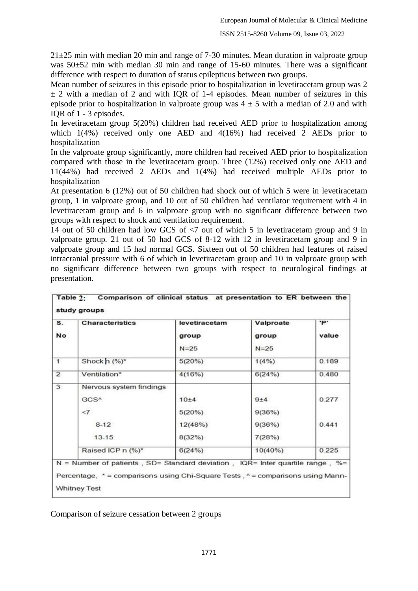$21\pm25$  min with median 20 min and range of 7-30 minutes. Mean duration in valproate group was 50±52 min with median 30 min and range of 15-60 minutes. There was a significant difference with respect to duration of status epilepticus between two groups.

Mean number of seizures in this episode prior to hospitalization in levetiracetam group was 2  $\pm$  2 with a median of 2 and with IQR of 1-4 episodes. Mean number of seizures in this episode prior to hospitalization in valproate group was  $4 \pm 5$  with a median of 2.0 and with IQR of 1 - 3 episodes.

In levetiracetam group 5(20%) children had received AED prior to hospitalization among which 1(4%) received only one AED and 4(16%) had received 2 AEDs prior to hospitalization

In the valproate group significantly, more children had received AED prior to hospitalization compared with those in the levetiracetam group. Three (12%) received only one AED and 11(44%) had received 2 AEDs and 1(4%) had received multiple AEDs prior to hospitalization

At presentation 6 (12%) out of 50 children had shock out of which 5 were in levetiracetam group, 1 in valproate group, and 10 out of 50 children had ventilator requirement with 4 in levetiracetam group and 6 in valproate group with no significant difference between two groups with respect to shock and ventilation requirement.

14 out of 50 children had low GCS of <7 out of which 5 in levetiracetam group and 9 in valproate group. 21 out of 50 had GCS of 8-12 with 12 in levetiracetam group and 9 in valproate group and 15 had normal GCS. Sixteen out of 50 children had features of raised intracranial pressure with 6 of which in levetiracetam group and 10 in valproate group with no significant difference between two groups with respect to neurological findings at presentation.

| S.<br><b>No</b>         | <b>Characteristics</b>  | levetiracetam<br>group<br>$N = 25$ | Valproate<br>group<br>$N = 25$ | 'P'<br>value |
|-------------------------|-------------------------|------------------------------------|--------------------------------|--------------|
|                         |                         |                                    |                                |              |
| $\mathbf{1}$            | Shock $n$ (%)*          | 5(20%)                             | $1(4\%)$                       | 0.189        |
| $\overline{2}$          | Ventilation*            | 4(16%)                             | 6(24%)                         | 0.480        |
| $\overline{\mathbf{3}}$ | Nervous system findings |                                    |                                |              |
|                         | GCS <sup>^</sup>        | 10±4                               | $9+4$                          | 0.277        |
|                         | $\leq$ 7                | 5(20%)                             | 9(36%)                         |              |
|                         | $8-12$                  | 12(48%)                            | 9(36%)                         | 0.441        |
|                         | $13 - 15$               | 8(32%)                             | 7(28%)                         |              |
|                         | Raised ICP n (%)*       | 6(24%)                             | $10(40\%)$                     | 0.225        |

Comparison of seizure cessation between 2 groups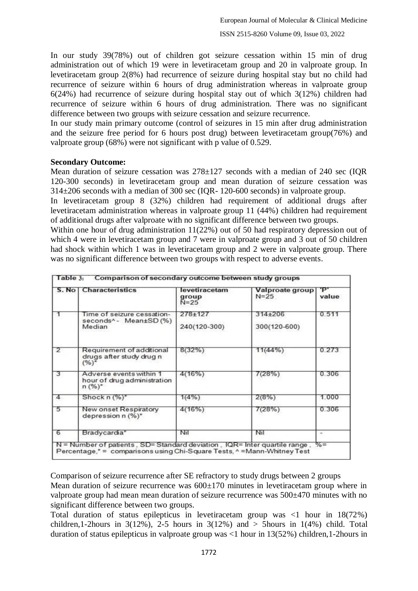In our study 39(78%) out of children got seizure cessation within 15 min of drug administration out of which 19 were in levetiracetam group and 20 in valproate group. In levetiracetam group 2(8%) had recurrence of seizure during hospital stay but no child had recurrence of seizure within 6 hours of drug administration whereas in valproate group 6(24%) had recurrence of seizure during hospital stay out of which 3(12%) children had recurrence of seizure within 6 hours of drug administration. There was no significant difference between two groups with seizure cessation and seizure recurrence.

In our study main primary outcome (control of seizures in 15 min after drug administration and the seizure free period for 6 hours post drug) between levetiracetam group(76%) and valproate group (68%) were not significant with p value of 0.529.

#### **Secondary Outcome:**

Mean duration of seizure cessation was 278±127 seconds with a median of 240 sec (IQR 120-300 seconds) in levetiracetam group and mean duration of seizure cessation was 314±206 seconds with a median of 300 sec (IQR- 120-600 seconds) in valproate group.

In levetiracetam group 8 (32%) children had requirement of additional drugs after levetiracetam administration whereas in valproate group 11 (44%) children had requirement of additional drugs after valproate with no significant difference between two groups.

Within one hour of drug administration 11(22%) out of 50 had respiratory depression out of which 4 were in levetiracetam group and 7 were in valproate group and 3 out of 50 children had shock within which 1 was in levetiracetam group and 2 were in valproate group. There was no significant difference between two groups with respect to adverse events.

|                | S. No   Characteristics                                             | levetiracetam<br>group<br>$N = 25$ | Valproate group<br>$N = 25$ | ъ.<br>value |
|----------------|---------------------------------------------------------------------|------------------------------------|-----------------------------|-------------|
| 1              | Time of seizure cessation-<br>seconds^- Mean±SD(%)<br>Median        | 278±127<br>240(120-300)            | 314±206<br>300(120-600)     | 0.511       |
| $\overline{2}$ | Requirement of additional<br>drugs after study drug n<br>$(%)^*$    | 8(32%)                             | 11(44%)                     | 0.273       |
| 3              | Adverse events within 1<br>hour of drug administration<br>$n (%)^*$ | 4(16%)                             | 7(28%)                      | 0.306       |
| 4              | Shock $n$ $(\%)^*$                                                  | 1(4%)                              | 2(8%)                       | 1.000       |
| 5              | New onset Respiratory<br>depression n (%)*                          | 4(16%)                             | 7(28%)                      | 0.306       |
| 6              | Bradycardia*                                                        | Nil                                | Nil                         |             |

Comparison of seizure recurrence after SE refractory to study drugs between 2 groups Mean duration of seizure recurrence was  $600\pm170$  minutes in levetiracetam group where in valproate group had mean mean duration of seizure recurrence was 500±470 minutes with no significant difference between two groups.

Total duration of status epilepticus in levetiracetam group was <1 hour in 18(72%) children,1-2hours in  $3(12\%)$ , 2-5 hours in  $3(12\%)$  and  $>$  5 hours in  $1(4\%)$  child. Total duration of status epilepticus in valproate group was <1 hour in 13(52%) children,1-2hours in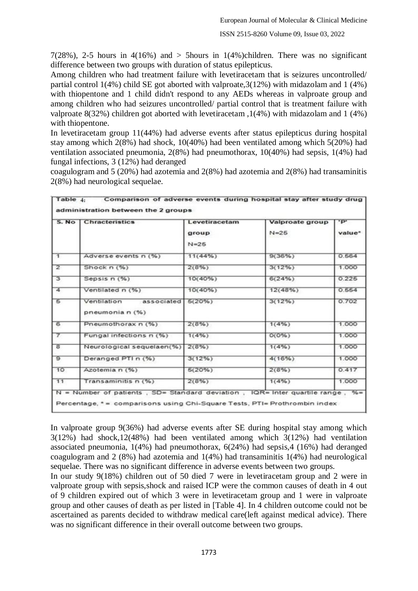7(28%), 2-5 hours in  $4(16\%)$  and  $>$  5 hours in 1(4%)children. There was no significant difference between two groups with duration of status epilepticus.

Among children who had treatment failure with levetiracetam that is seizures uncontrolled/ partial control 1(4%) child SE got aborted with valproate,3(12%) with midazolam and 1 (4%) with thiopentone and 1 child didn't respond to any AEDs whereas in valproate group and among children who had seizures uncontrolled/ partial control that is treatment failure with valproate 8(32%) children got aborted with levetiracetam ,1(4%) with midazolam and 1 (4%) with thiopentone.

In levetiracetam group 11(44%) had adverse events after status epilepticus during hospital stay among which 2(8%) had shock, 10(40%) had been ventilated among which 5(20%) had ventilation associated pneumonia, 2(8%) had pneumothorax, 10(40%) had sepsis, 1(4%) had fungal infections, 3 (12%) had deranged

|                | S. No   Chracteristics                              | Levetiracetam     | Valproate group<br>$N = 25$ | $\cdot$ P $\cdot$<br>value* |
|----------------|-----------------------------------------------------|-------------------|-----------------------------|-----------------------------|
|                |                                                     | group<br>$N = 25$ |                             |                             |
| $\overline{1}$ | Adverse events n (%)                                | 11(44%)           | 9(36%)                      | 0.564                       |
| $\overline{2}$ | Shock $n(%)$                                        | $2(8\%)$          | 3(12%)                      | 1.000                       |
| з              | Sepsis n (%)                                        | 10(40%)           | 6(24%)                      | 0.225                       |
| 4              | Ventilated n (%)                                    | 10(40%)           | 12(48%)                     | 0.554                       |
| 5              | associated 5(20%)<br>Ventilation<br>pneumonia n (%) |                   | $3(12\%)$                   | 0.702                       |
| 6              | Pneumothorax n (%)                                  | 2(8%)             | 1(4%)                       | 1.000                       |
| $\tau$         | Fungal infections n (%)                             | 1(4%)             | $O(O\%)$                    | 1.000                       |
| $\overline{a}$ | Neurological sequelaen(%)                           | 2(8%)             | 1(4%)                       | 1.000                       |
| $\overline{9}$ | Deranged PTI n (%)                                  | 3(12%)            | 4(16%)                      | 1.000                       |
| 10             | Azotemia n (%)                                      | 6(20%)            | 2(8%)                       | 0.417                       |
| 11             | Transaminitis n (%)                                 | 2(8%)             | 1(4%)                       | 1.000                       |

coagulogram and 5 (20%) had azotemia and 2(8%) had azotemia and 2(8%) had transaminitis 2(8%) had neurological sequelae.

In valproate group 9(36%) had adverse events after SE during hospital stay among which 3(12%) had shock,12(48%) had been ventilated among which 3(12%) had ventilation associated pneumonia, 1(4%) had pneumothorax, 6(24%) had sepsis,4 (16%) had deranged coagulogram and 2 (8%) had azotemia and 1(4%) had transaminitis 1(4%) had neurological sequelae. There was no significant difference in adverse events between two groups.

In our study 9(18%) children out of 50 died 7 were in levetiracetam group and 2 were in valproate group with sepsis,shock and raised ICP were the common causes of death in 4 out of 9 children expired out of which 3 were in levetiracetam group and 1 were in valproate group and other causes of death as per listed in [Table 4]. In 4 children outcome could not be ascertained as parents decided to withdraw medical care(left against medical advice). There was no significant difference in their overall outcome between two groups.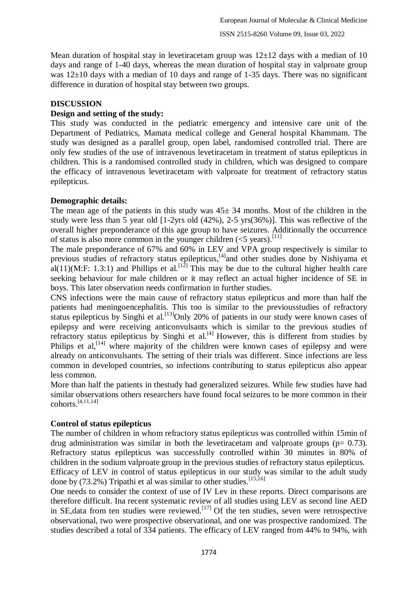Mean duration of hospital stay in levetiracetam group was  $12\pm 12$  days with a median of 10 days and range of 1-40 days, whereas the mean duration of hospital stay in valproate group was  $12\pm10$  days with a median of 10 days and range of 1-35 days. There was no significant difference in duration of hospital stay between two groups.

# **DISCUSSION**

#### **Design and setting of the study:**

This study was conducted in the pediatric emergency and intensive care unit of the Department of Pediatrics, Mamata medical college and General hospital Khammam. The study was designed as a parallel group, open label, randomised controlled trial. There are only few studies of the use of intravenous levetiracetam in treatment of status epilepticus in children. This is a randomised controlled study in children, which was designed to compare the efficacy of intravenous levetiracetam with valproate for treatment of refractory status epilepticus.

#### **Demographic details:**

The mean age of the patients in this study was  $45\pm 34$  months. Most of the children in the study were less than 5 year old [1-2yrs old (42%), 2-5 yrs(36%)]. This was reflective of the overall higher preponderance of this age group to have seizures. Additionally the occurrence of status is also more common in the younger children  $(<5$  years).<sup>[11]</sup>

The male preponderance of 67% and 60% in LEV and VPA group respectively is similar to previous studies of refractory status epilepticus,<sup>[4]</sup>and other studies done by Nishiyama et al(11)(M:F: 1.3:1) and Phillips et al.<sup>[12]</sup> This may be due to the cultural higher health care seeking behaviour for male children or it may reflect an actual higher incidence of SE in boys. This later observation needs confirmation in further studies.

CNS infections were the main cause of refractory status epilepticus and more than half the patients had meningoencephalitis. This too is similar to the previousstudies of refractory status epilepticus by Singhi et al.<sup>[13]</sup>Only 20% of patients in our study were known cases of epilepsy and were receiving anticonvulsants which is similar to the previous studies of refractory status epilepticus by Singhi et al.<sup>[4]</sup> However, this is different from studies by Philips et al,<sup>[14]</sup> where majority of the children were known cases of epilepsy and were already on anticonvulsants. The setting of their trials was different. Since infections are less common in developed countries, so infections contributing to status epilepticus also appear less common.

More than half the patients in thestudy had generalized seizures. While few studies have had similar observations others researchers have found focal seizures to be more common in their  $cohorts.$ <sup>[4,11,14]</sup>

# **Control of status epilepticus**

The number of children in whom refractory status epilepticus was controlled within 15min of drug administration was similar in both the levetiracetam and valproate groups ( $p= 0.73$ ). Refractory status epilepticus was successfully controlled within 30 minutes in 80% of children in the sodium valproate group in the previous studies of refractory status epilepticus. Efficacy of LEV in control of status epilepticus in our study was similar to the adult study done by (73.2%) Tripathi et al was similar to other studies.[15,16]

One needs to consider the context of use of IV Lev in these reports. Direct comparisons are therefore difficult. Ina recent systematic review of all studies using LEV as second line AED in SE, data from ten studies were reviewed.<sup>[17]</sup> Of the ten studies, seven were retrospective observational, two were prospective observational, and one was prospective randomized. The studies described a total of 334 patients. The efficacy of LEV ranged from 44% to 94%, with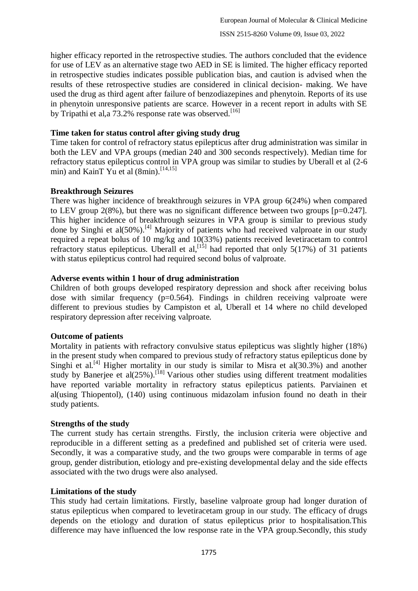higher efficacy reported in the retrospective studies. The authors concluded that the evidence for use of LEV as an alternative stage two AED in SE is limited. The higher efficacy reported in retrospective studies indicates possible publication bias, and caution is advised when the results of these retrospective studies are considered in clinical decision- making. We have used the drug as third agent after failure of benzodiazepines and phenytoin. Reports of its use in phenytoin unresponsive patients are scarce. However in a recent report in adults with SE by Tripathi et al, a  $73.2\%$  response rate was observed.<sup>[16]</sup>

#### **Time taken for status control after giving study drug**

Time taken for control of refractory status epilepticus after drug administration was similar in both the LEV and VPA groups (median 240 and 300 seconds respectively). Median time for refractory status epilepticus control in VPA group was similar to studies by Uberall et al (2-6 min) and KainT Yu et al (8min).<sup>[14,15]</sup>

# **Breakthrough Seizures**

There was higher incidence of breakthrough seizures in VPA group 6(24%) when compared to LEV group  $2(8\%)$ , but there was no significant difference between two groups [p=0.247]. This higher incidence of breakthrough seizures in VPA group is similar to previous study done by Singhi et al(50%).<sup>[4]</sup> Majority of patients who had received valproate in our study required a repeat bolus of 10 mg/kg and 10(33%) patients received levetiracetam to control refractory status epilepticus. Uberall et al,<sup>[15]</sup> had reported that only 5(17%) of 31 patients with status epilepticus control had required second bolus of valproate.

#### **Adverse events within 1 hour of drug administration**

Children of both groups developed respiratory depression and shock after receiving bolus dose with similar frequency  $(p=0.564)$ . Findings in children receiving valproate were different to previous studies by Campiston et al, Uberall et 14 where no child developed respiratory depression after receiving valproate.

# **Outcome of patients**

Mortality in patients with refractory convulsive status epilepticus was slightly higher (18%) in the present study when compared to previous study of refractory status epilepticus done by Singhi et al.<sup>[4]</sup> Higher mortality in our study is similar to Misra et al(30.3%) and another study by Banerjee et al(25%).<sup>[18]</sup> Various other studies using different treatment modalities have reported variable mortality in refractory status epilepticus patients. Parviainen et al(using Thiopentol), (140) using continuous midazolam infusion found no death in their study patients.

# **Strengths of the study**

The current study has certain strengths. Firstly, the inclusion criteria were objective and reproducible in a different setting as a predefined and published set of criteria were used. Secondly, it was a comparative study, and the two groups were comparable in terms of age group, gender distribution, etiology and pre-existing developmental delay and the side effects associated with the two drugs were also analysed.

# **Limitations of the study**

This study had certain limitations. Firstly, baseline valproate group had longer duration of status epilepticus when compared to levetiracetam group in our study. The efficacy of drugs depends on the etiology and duration of status epilepticus prior to hospitalisation.This difference may have influenced the low response rate in the VPA group.Secondly, this study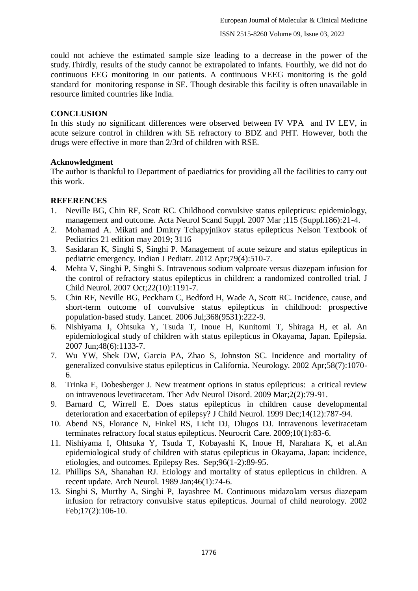could not achieve the estimated sample size leading to a decrease in the power of the study.Thirdly, results of the study cannot be extrapolated to infants. Fourthly, we did not do continuous EEG monitoring in our patients. A continuous VEEG monitoring is the gold standard for monitoring response in SE. Though desirable this facility is often unavailable in resource limited countries like India.

#### **CONCLUSION**

In this study no significant differences were observed between IV VPA and IV LEV, in acute seizure control in children with SE refractory to BDZ and PHT. However, both the drugs were effective in more than 2/3rd of children with RSE.

#### **Acknowledgment**

The author is thankful to Department of paediatrics for providing all the facilities to carry out this work.

# **REFERENCES**

- 1. Neville BG, Chin RF, Scott RC. Childhood convulsive status epilepticus: epidemiology, management and outcome. Acta Neurol Scand Suppl. 2007 Mar ;115 (Suppl.186):21-4.
- 2. Mohamad A. Mikati and Dmitry Tchapyjnikov status epilepticus Nelson Textbook of Pediatrics 21 edition may 2019; 3116
- 3. Sasidaran K, Singhi S, Singhi P. Management of acute seizure and status epilepticus in pediatric emergency. Indian J Pediatr. 2012 Apr;79(4):510-7.
- 4. Mehta V, Singhi P, Singhi S. Intravenous sodium valproate versus diazepam infusion for the control of refractory status epilepticus in children: a randomized controlled trial. J Child Neurol. 2007 Oct;22(10):1191-7.
- 5. Chin RF, Neville BG, Peckham C, Bedford H, Wade A, Scott RC. Incidence, cause, and short-term outcome of convulsive status epilepticus in childhood: prospective population-based study. Lancet. 2006 Jul;368(9531):222-9.
- 6. Nishiyama I, Ohtsuka Y, Tsuda T, Inoue H, Kunitomi T, Shiraga H, et al. An epidemiological study of children with status epilepticus in Okayama, Japan. Epilepsia. 2007 Jun;48(6):1133-7.
- 7. Wu YW, Shek DW, Garcia PA, Zhao S, Johnston SC. Incidence and mortality of generalized convulsive status epilepticus in California. Neurology. 2002 Apr;58(7):1070- 6.
- 8. Trinka E, Dobesberger J. New treatment options in status epilepticus: a critical review on intravenous levetiracetam. Ther Adv Neurol Disord. 2009 Mar;2(2):79-91.
- 9. Barnard C, Wirrell E. Does status epilepticus in children cause developmental deterioration and exacerbation of epilepsy? J Child Neurol. 1999 Dec;14(12):787-94.
- 10. Abend NS, Florance N, Finkel RS, Licht DJ, Dlugos DJ. Intravenous levetiracetam terminates refractory focal status epilepticus. Neurocrit Care. 2009;10(1):83-6.
- 11. Nishiyama I, Ohtsuka Y, Tsuda T, Kobayashi K, Inoue H, Narahara K, et al.An epidemiological study of children with status epilepticus in Okayama, Japan: incidence, etiologies, and outcomes. Epilepsy Res. Sep;96(1-2):89-95.
- 12. Phillips SA, Shanahan RJ. Etiology and mortality of status epilepticus in children. A recent update. Arch Neurol. 1989 Jan;46(1):74-6.
- 13. Singhi S, Murthy A, Singhi P, Jayashree M. Continuous midazolam versus diazepam infusion for refractory convulsive status epilepticus. Journal of child neurology. 2002 Feb;17(2):106-10.